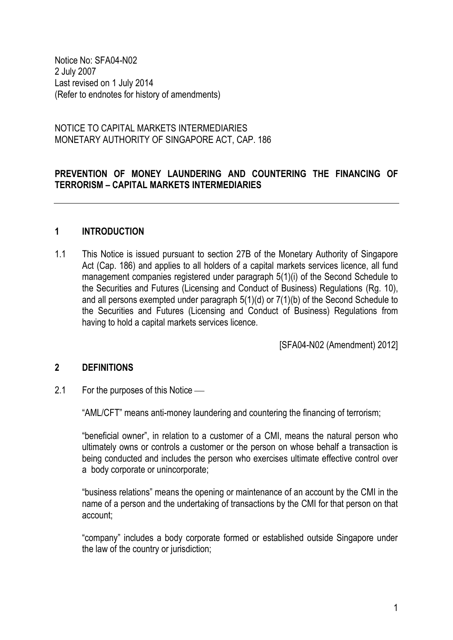Notice No: SFA04-N02 2 July 2007 Last revised on 1 July 2014 (Refer to endnotes for history of amendments)

NOTICE TO CAPITAL MARKETS INTERMEDIARIES MONETARY AUTHORITY OF SINGAPORE ACT, CAP. 186

# **PREVENTION OF MONEY LAUNDERING AND COUNTERING THE FINANCING OF TERRORISM – CAPITAL MARKETS INTERMEDIARIES**

### **1 INTRODUCTION**

1.1 This Notice is issued pursuant to section 27B of the Monetary Authority of Singapore Act (Cap. 186) and applies to all holders of a capital markets services licence, all fund management companies registered under paragraph 5(1)(i) of the Second Schedule to the Securities and Futures (Licensing and Conduct of Business) Regulations (Rg. 10), and all persons exempted under paragraph 5(1)(d) or 7(1)(b) of the Second Schedule to the Securities and Futures (Licensing and Conduct of Business) Regulations from having to hold a capital markets services licence.

[SFA04-N02 (Amendment) 2012]

#### **2 DEFINITIONS**

2.1 For the purposes of this Notice —

"AML/CFT" means anti-money laundering and countering the financing of terrorism;

"beneficial owner", in relation to a customer of a CMI, means the natural person who ultimately owns or controls a customer or the person on whose behalf a transaction is being conducted and includes the person who exercises ultimate effective control over a body corporate or unincorporate;

"business relations" means the opening or maintenance of an account by the CMI in the name of a person and the undertaking of transactions by the CMI for that person on that account;

"company" includes a body corporate formed or established outside Singapore under the law of the country or jurisdiction;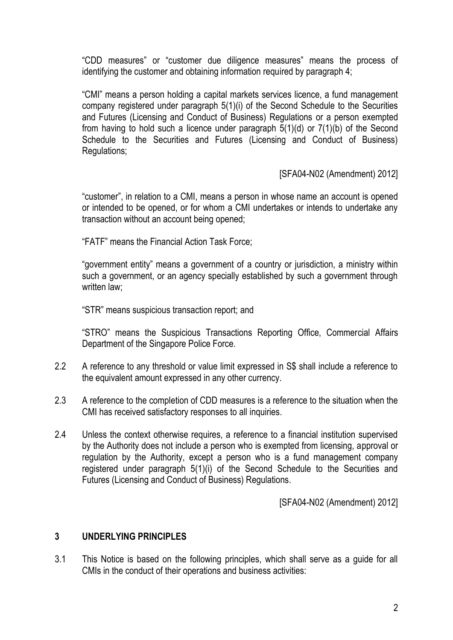"CDD measures" or "customer due diligence measures" means the process of identifying the customer and obtaining information required by paragraph 4;

"CMI" means a person holding a capital markets services licence, a fund management company registered under paragraph 5(1)(i) of the Second Schedule to the Securities and Futures (Licensing and Conduct of Business) Regulations or a person exempted from having to hold such a licence under paragraph 5(1)(d) or 7(1)(b) of the Second Schedule to the Securities and Futures (Licensing and Conduct of Business) Regulations;

[SFA04-N02 (Amendment) 2012]

"customer", in relation to a CMI, means a person in whose name an account is opened or intended to be opened, or for whom a CMI undertakes or intends to undertake any transaction without an account being opened;

"FATF" means the Financial Action Task Force;

"government entity" means a government of a country or jurisdiction, a ministry within such a government, or an agency specially established by such a government through written law:

"STR" means suspicious transaction report; and

"STRO" means the Suspicious Transactions Reporting Office, Commercial Affairs Department of the Singapore Police Force.

- 2.2 A reference to any threshold or value limit expressed in S\$ shall include a reference to the equivalent amount expressed in any other currency.
- 2.3 A reference to the completion of CDD measures is a reference to the situation when the CMI has received satisfactory responses to all inquiries.
- 2.4 Unless the context otherwise requires, a reference to a financial institution supervised by the Authority does not include a person who is exempted from licensing, approval or regulation by the Authority, except a person who is a fund management company registered under paragraph 5(1)(i) of the Second Schedule to the Securities and Futures (Licensing and Conduct of Business) Regulations.

[SFA04-N02 (Amendment) 2012]

### **3 UNDERLYING PRINCIPLES**

3.1 This Notice is based on the following principles, which shall serve as a guide for all CMIs in the conduct of their operations and business activities: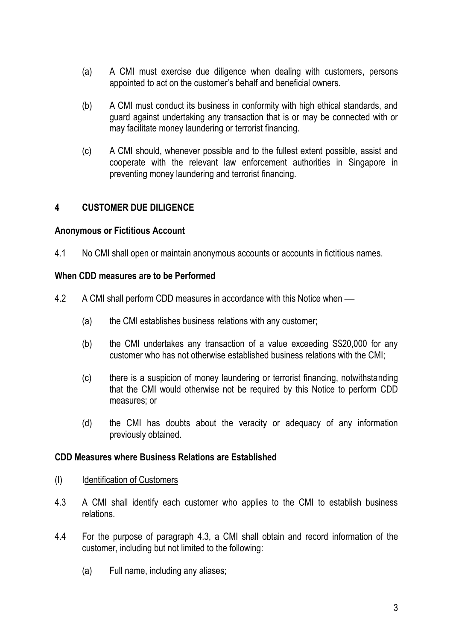- (a) A CMI must exercise due diligence when dealing with customers, persons appointed to act on the customer's behalf and beneficial owners.
- (b) A CMI must conduct its business in conformity with high ethical standards, and guard against undertaking any transaction that is or may be connected with or may facilitate money laundering or terrorist financing.
- (c) A CMI should, whenever possible and to the fullest extent possible, assist and cooperate with the relevant law enforcement authorities in Singapore in preventing money laundering and terrorist financing.

# **4 CUSTOMER DUE DILIGENCE**

#### **Anonymous or Fictitious Account**

4.1 No CMI shall open or maintain anonymous accounts or accounts in fictitious names.

# **When CDD measures are to be Performed**

- 4.2 A CMI shall perform CDD measures in accordance with this Notice when
	- (a) the CMI establishes business relations with any customer;
	- (b) the CMI undertakes any transaction of a value exceeding S\$20,000 for any customer who has not otherwise established business relations with the CMI;
	- (c) there is a suspicion of money laundering or terrorist financing, notwithstanding that the CMI would otherwise not be required by this Notice to perform CDD measures; or
	- (d) the CMI has doubts about the veracity or adequacy of any information previously obtained.

#### **CDD Measures where Business Relations are Established**

- (I) Identification of Customers
- 4.3 A CMI shall identify each customer who applies to the CMI to establish business relations.
- 4.4 For the purpose of paragraph 4.3, a CMI shall obtain and record information of the customer, including but not limited to the following:
	- (a) Full name, including any aliases;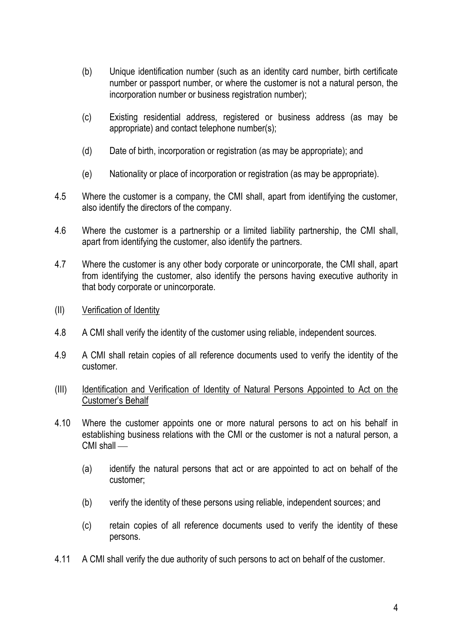- (b) Unique identification number (such as an identity card number, birth certificate number or passport number, or where the customer is not a natural person, the incorporation number or business registration number);
- (c) Existing residential address, registered or business address (as may be appropriate) and contact telephone number(s);
- (d) Date of birth, incorporation or registration (as may be appropriate); and
- (e) Nationality or place of incorporation or registration (as may be appropriate).
- 4.5 Where the customer is a company, the CMI shall, apart from identifying the customer, also identify the directors of the company.
- 4.6 Where the customer is a partnership or a limited liability partnership, the CMI shall, apart from identifying the customer, also identify the partners.
- 4.7 Where the customer is any other body corporate or unincorporate, the CMI shall, apart from identifying the customer, also identify the persons having executive authority in that body corporate or unincorporate.
- (II) Verification of Identity
- 4.8 A CMI shall verify the identity of the customer using reliable, independent sources.
- 4.9 A CMI shall retain copies of all reference documents used to verify the identity of the customer.
- (III) Identification and Verification of Identity of Natural Persons Appointed to Act on the Customer's Behalf
- 4.10 Where the customer appoints one or more natural persons to act on his behalf in establishing business relations with the CMI or the customer is not a natural person, a CMI shall —
	- (a) identify the natural persons that act or are appointed to act on behalf of the customer;
	- (b) verify the identity of these persons using reliable, independent sources; and
	- (c) retain copies of all reference documents used to verify the identity of these persons.
- 4.11 A CMI shall verify the due authority of such persons to act on behalf of the customer.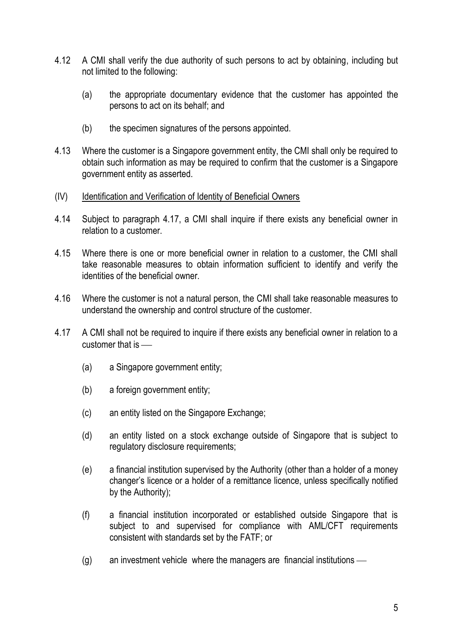- 4.12 A CMI shall verify the due authority of such persons to act by obtaining, including but not limited to the following:
	- (a) the appropriate documentary evidence that the customer has appointed the persons to act on its behalf; and
	- (b) the specimen signatures of the persons appointed.
- 4.13 Where the customer is a Singapore government entity, the CMI shall only be required to obtain such information as may be required to confirm that the customer is a Singapore government entity as asserted.
- (IV) Identification and Verification of Identity of Beneficial Owners
- 4.14 Subject to paragraph 4.17, a CMI shall inquire if there exists any beneficial owner in relation to a customer.
- 4.15 Where there is one or more beneficial owner in relation to a customer, the CMI shall take reasonable measures to obtain information sufficient to identify and verify the identities of the beneficial owner.
- 4.16 Where the customer is not a natural person, the CMI shall take reasonable measures to understand the ownership and control structure of the customer.
- 4.17 A CMI shall not be required to inquire if there exists any beneficial owner in relation to a customer that is
	- (a) a Singapore government entity;
	- (b) a foreign government entity;
	- (c) an entity listed on the Singapore Exchange;
	- (d) an entity listed on a stock exchange outside of Singapore that is subject to regulatory disclosure requirements;
	- (e) a financial institution supervised by the Authority (other than a holder of a money changer's licence or a holder of a remittance licence, unless specifically notified by the Authority);
	- (f) a financial institution incorporated or established outside Singapore that is subject to and supervised for compliance with AML/CFT requirements consistent with standards set by the FATF; or
	- (g) an investment vehicle where the managers are financial institutions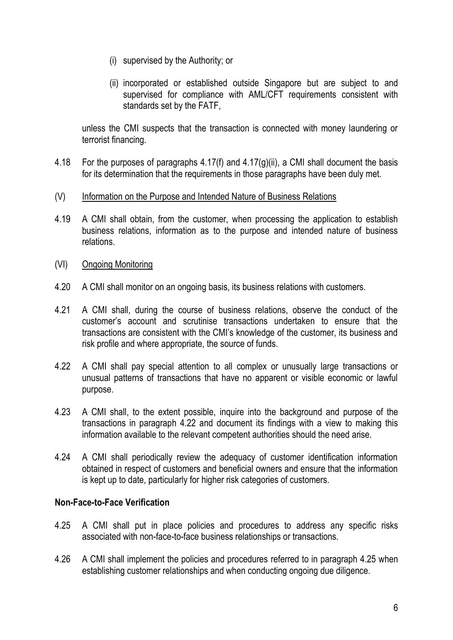- (i) supervised by the Authority; or
- (ii) incorporated or established outside Singapore but are subject to and supervised for compliance with AML/CFT requirements consistent with standards set by the FATF,

unless the CMI suspects that the transaction is connected with money laundering or terrorist financing.

- 4.18 For the purposes of paragraphs 4.17(f) and 4.17(g)(ii), a CMI shall document the basis for its determination that the requirements in those paragraphs have been duly met.
- (V) Information on the Purpose and Intended Nature of Business Relations
- 4.19 A CMI shall obtain, from the customer, when processing the application to establish business relations, information as to the purpose and intended nature of business relations.
- (VI) Ongoing Monitoring
- 4.20 A CMI shall monitor on an ongoing basis, its business relations with customers.
- 4.21 A CMI shall, during the course of business relations, observe the conduct of the customer's account and scrutinise transactions undertaken to ensure that the transactions are consistent with the CMI's knowledge of the customer, its business and risk profile and where appropriate, the source of funds.
- 4.22 A CMI shall pay special attention to all complex or unusually large transactions or unusual patterns of transactions that have no apparent or visible economic or lawful purpose.
- 4.23 A CMI shall, to the extent possible, inquire into the background and purpose of the transactions in paragraph 4.22 and document its findings with a view to making this information available to the relevant competent authorities should the need arise.
- 4.24 A CMI shall periodically review the adequacy of customer identification information obtained in respect of customers and beneficial owners and ensure that the information is kept up to date, particularly for higher risk categories of customers.

#### **Non-Face-to-Face Verification**

- 4.25 A CMI shall put in place policies and procedures to address any specific risks associated with non-face-to-face business relationships or transactions.
- 4.26 A CMI shall implement the policies and procedures referred to in paragraph 4.25 when establishing customer relationships and when conducting ongoing due diligence.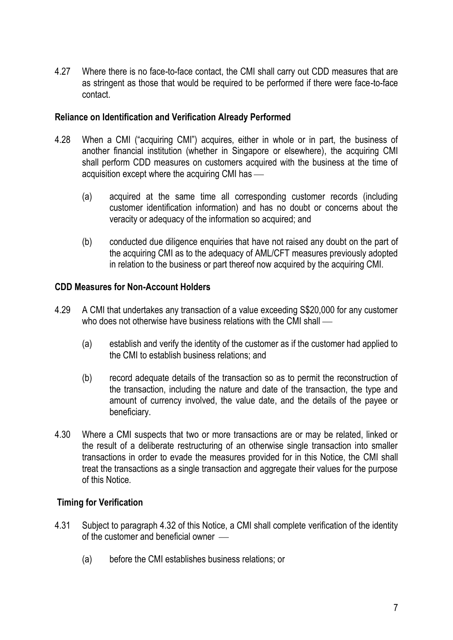4.27 Where there is no face-to-face contact, the CMI shall carry out CDD measures that are as stringent as those that would be required to be performed if there were face-to-face contact.

### **Reliance on Identification and Verification Already Performed**

- 4.28 When a CMI ("acquiring CMI") acquires, either in whole or in part, the business of another financial institution (whether in Singapore or elsewhere), the acquiring CMI shall perform CDD measures on customers acquired with the business at the time of acquisition except where the acquiring CMI has
	- (a) acquired at the same time all corresponding customer records (including customer identification information) and has no doubt or concerns about the veracity or adequacy of the information so acquired; and
	- (b) conducted due diligence enquiries that have not raised any doubt on the part of the acquiring CMI as to the adequacy of AML/CFT measures previously adopted in relation to the business or part thereof now acquired by the acquiring CMI.

# **CDD Measures for Non-Account Holders**

- 4.29 A CMI that undertakes any transaction of a value exceeding S\$20,000 for any customer who does not otherwise have business relations with the CMI shall —
	- (a) establish and verify the identity of the customer as if the customer had applied to the CMI to establish business relations; and
	- (b) record adequate details of the transaction so as to permit the reconstruction of the transaction, including the nature and date of the transaction, the type and amount of currency involved, the value date, and the details of the payee or beneficiary.
- 4.30 Where a CMI suspects that two or more transactions are or may be related, linked or the result of a deliberate restructuring of an otherwise single transaction into smaller transactions in order to evade the measures provided for in this Notice, the CMI shall treat the transactions as a single transaction and aggregate their values for the purpose of this Notice.

# **Timing for Verification**

- 4.31 Subject to paragraph 4.32 of this Notice, a CMI shall complete verification of the identity of the customer and beneficial owner
	- (a) before the CMI establishes business relations; or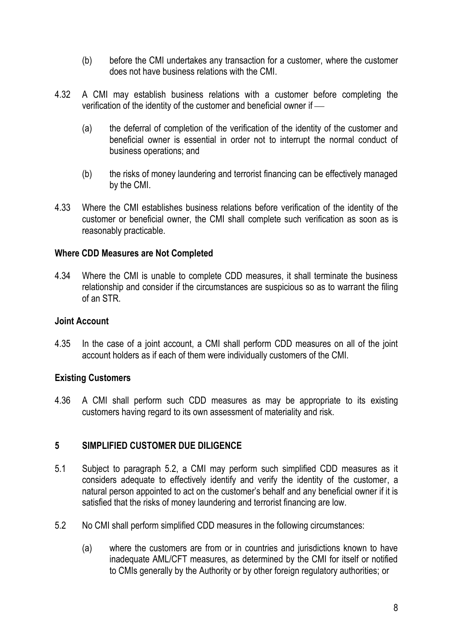- (b) before the CMI undertakes any transaction for a customer, where the customer does not have business relations with the CMI.
- 4.32 A CMI may establish business relations with a customer before completing the verification of the identity of the customer and beneficial owner if
	- (a) the deferral of completion of the verification of the identity of the customer and beneficial owner is essential in order not to interrupt the normal conduct of business operations; and
	- (b) the risks of money laundering and terrorist financing can be effectively managed by the CMI.
- 4.33 Where the CMI establishes business relations before verification of the identity of the customer or beneficial owner, the CMI shall complete such verification as soon as is reasonably practicable.

# **Where CDD Measures are Not Completed**

4.34 Where the CMI is unable to complete CDD measures, it shall terminate the business relationship and consider if the circumstances are suspicious so as to warrant the filing of an STR.

### **Joint Account**

4.35 In the case of a joint account, a CMI shall perform CDD measures on all of the joint account holders as if each of them were individually customers of the CMI.

# **Existing Customers**

4.36 A CMI shall perform such CDD measures as may be appropriate to its existing customers having regard to its own assessment of materiality and risk.

# **5 SIMPLIFIED CUSTOMER DUE DILIGENCE**

- 5.1 Subject to paragraph 5.2, a CMI may perform such simplified CDD measures as it considers adequate to effectively identify and verify the identity of the customer, a natural person appointed to act on the customer's behalf and any beneficial owner if it is satisfied that the risks of money laundering and terrorist financing are low.
- 5.2 No CMI shall perform simplified CDD measures in the following circumstances:
	- (a) where the customers are from or in countries and jurisdictions known to have inadequate AML/CFT measures, as determined by the CMI for itself or notified to CMIs generally by the Authority or by other foreign regulatory authorities; or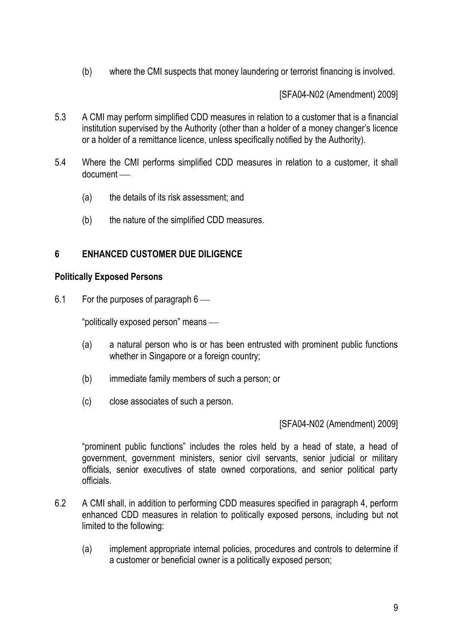(b) where the CMI suspects that money laundering or terrorist financing is involved.

[SFA04-N02 (Amendment) 2009]

- 5.3 A CMI may perform simplified CDD measures in relation to a customer that is a financial institution supervised by the Authority (other than a holder of a money changer's licence or a holder of a remittance licence, unless specifically notified by the Authority).
- 5.4 Where the CMI performs simplified CDD measures in relation to a customer, it shall document
	- (a) the details of its risk assessment; and
	- (b) the nature of the simplified CDD measures.

#### **6 ENHANCED CUSTOMER DUE DILIGENCE**

#### **Politically Exposed Persons**

6.1 For the purposes of paragraph 6

"politically exposed person" means

- (a) a natural person who is or has been entrusted with prominent public functions whether in Singapore or a foreign country;
- (b) immediate family members of such a person; or
- (c) close associates of such a person.

#### [SFA04-N02 (Amendment) 2009]

"prominent public functions" includes the roles held by a head of state, a head of government, government ministers, senior civil servants, senior judicial or military officials, senior executives of state owned corporations, and senior political party officials.

- 6.2 A CMI shall, in addition to performing CDD measures specified in paragraph 4, perform enhanced CDD measures in relation to politically exposed persons, including but not limited to the following:
	- (a) implement appropriate internal policies, procedures and controls to determine if a customer or beneficial owner is a politically exposed person;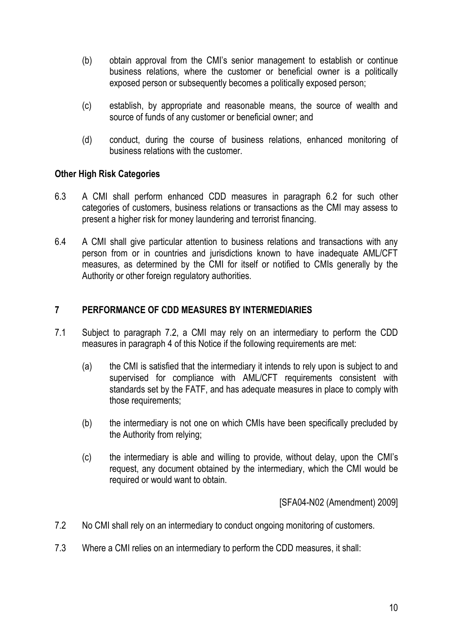- (b) obtain approval from the CMI's senior management to establish or continue business relations, where the customer or beneficial owner is a politically exposed person or subsequently becomes a politically exposed person;
- (c) establish, by appropriate and reasonable means, the source of wealth and source of funds of any customer or beneficial owner; and
- (d) conduct, during the course of business relations, enhanced monitoring of business relations with the customer.

# **Other High Risk Categories**

- 6.3 A CMI shall perform enhanced CDD measures in paragraph 6.2 for such other categories of customers, business relations or transactions as the CMI may assess to present a higher risk for money laundering and terrorist financing.
- 6.4 A CMI shall give particular attention to business relations and transactions with any person from or in countries and jurisdictions known to have inadequate AML/CFT measures, as determined by the CMI for itself or notified to CMIs generally by the Authority or other foreign regulatory authorities.

# **7 PERFORMANCE OF CDD MEASURES BY INTERMEDIARIES**

- 7.1 Subject to paragraph 7.2, a CMI may rely on an intermediary to perform the CDD measures in paragraph 4 of this Notice if the following requirements are met:
	- (a) the CMI is satisfied that the intermediary it intends to rely upon is subject to and supervised for compliance with AML/CFT requirements consistent with standards set by the FATF, and has adequate measures in place to comply with those requirements;
	- (b) the intermediary is not one on which CMIs have been specifically precluded by the Authority from relying;
	- (c) the intermediary is able and willing to provide, without delay, upon the CMI's request, any document obtained by the intermediary, which the CMI would be required or would want to obtain.

[SFA04-N02 (Amendment) 2009]

- 7.2 No CMI shall rely on an intermediary to conduct ongoing monitoring of customers.
- 7.3 Where a CMI relies on an intermediary to perform the CDD measures, it shall: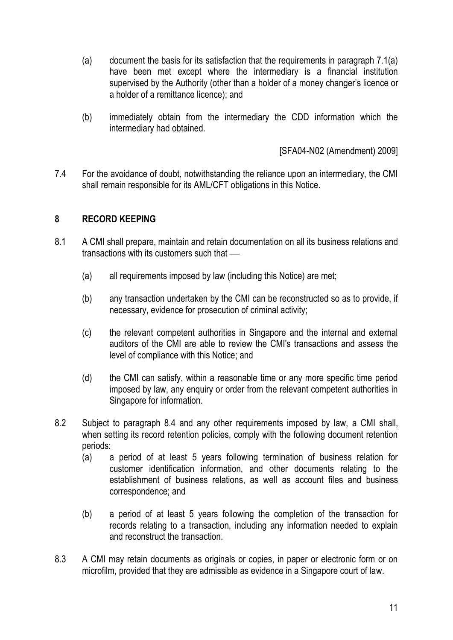- (a) document the basis for its satisfaction that the requirements in paragraph 7.1(a) have been met except where the intermediary is a financial institution supervised by the Authority (other than a holder of a money changer's licence or a holder of a remittance licence); and
- (b) immediately obtain from the intermediary the CDD information which the intermediary had obtained.

[SFA04-N02 (Amendment) 2009]

7.4 For the avoidance of doubt, notwithstanding the reliance upon an intermediary, the CMI shall remain responsible for its AML/CFT obligations in this Notice.

# **8 RECORD KEEPING**

- 8.1 A CMI shall prepare, maintain and retain documentation on all its business relations and transactions with its customers such that
	- (a) all requirements imposed by law (including this Notice) are met;
	- (b) any transaction undertaken by the CMI can be reconstructed so as to provide, if necessary, evidence for prosecution of criminal activity;
	- (c) the relevant competent authorities in Singapore and the internal and external auditors of the CMI are able to review the CMI's transactions and assess the level of compliance with this Notice; and
	- (d) the CMI can satisfy, within a reasonable time or any more specific time period imposed by law, any enquiry or order from the relevant competent authorities in Singapore for information.
- 8.2 Subject to paragraph 8.4 and any other requirements imposed by law, a CMI shall, when setting its record retention policies, comply with the following document retention periods:
	- (a) a period of at least 5 years following termination of business relation for customer identification information, and other documents relating to the establishment of business relations, as well as account files and business correspondence; and
	- (b) a period of at least 5 years following the completion of the transaction for records relating to a transaction, including any information needed to explain and reconstruct the transaction.
- 8.3 A CMI may retain documents as originals or copies, in paper or electronic form or on microfilm, provided that they are admissible as evidence in a Singapore court of law.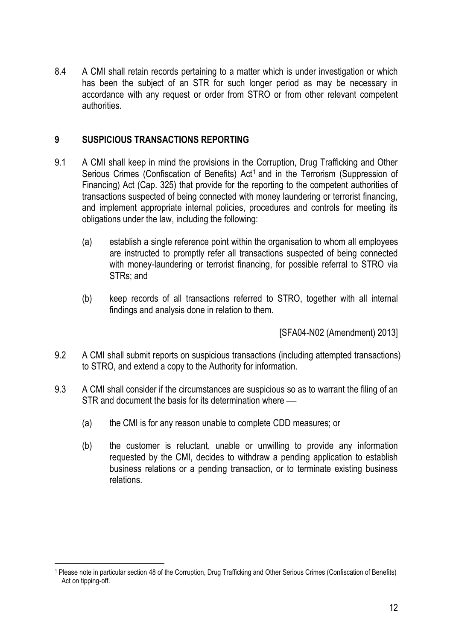8.4 A CMI shall retain records pertaining to a matter which is under investigation or which has been the subject of an STR for such longer period as may be necessary in accordance with any request or order from STRO or from other relevant competent authorities.

# **9 SUSPICIOUS TRANSACTIONS REPORTING**

- 9.1 A CMI shall keep in mind the provisions in the Corruption, Drug Trafficking and Other Serious Crimes (Confiscation of Benefits)  $Act<sup>1</sup>$  and in the Terrorism (Suppression of Financing) Act (Cap. 325) that provide for the reporting to the competent authorities of transactions suspected of being connected with money laundering or terrorist financing, and implement appropriate internal policies, procedures and controls for meeting its obligations under the law, including the following:
	- (a) establish a single reference point within the organisation to whom all employees are instructed to promptly refer all transactions suspected of being connected with money-laundering or terrorist financing, for possible referral to STRO via STRs; and
	- (b) keep records of all transactions referred to STRO, together with all internal findings and analysis done in relation to them.

[SFA04-N02 (Amendment) 2013]

- 9.2 A CMI shall submit reports on suspicious transactions (including attempted transactions) to STRO, and extend a copy to the Authority for information.
- 9.3 A CMI shall consider if the circumstances are suspicious so as to warrant the filing of an STR and document the basis for its determination where
	- (a) the CMI is for any reason unable to complete CDD measures; or
	- (b) the customer is reluctant, unable or unwilling to provide any information requested by the CMI, decides to withdraw a pending application to establish business relations or a pending transaction, or to terminate existing business relations.

<u>.</u>

<sup>1</sup> Please note in particular section 48 of the Corruption, Drug Trafficking and Other Serious Crimes (Confiscation of Benefits) Act on tipping-off.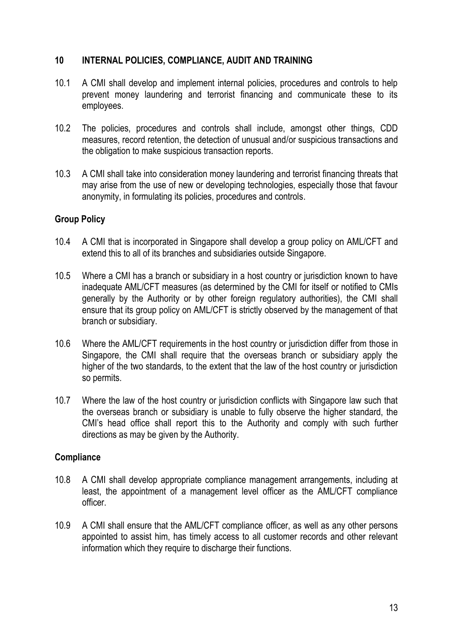# **10 INTERNAL POLICIES, COMPLIANCE, AUDIT AND TRAINING**

- 10.1 A CMI shall develop and implement internal policies, procedures and controls to help prevent money laundering and terrorist financing and communicate these to its employees.
- 10.2 The policies, procedures and controls shall include, amongst other things, CDD measures, record retention, the detection of unusual and/or suspicious transactions and the obligation to make suspicious transaction reports.
- 10.3 A CMI shall take into consideration money laundering and terrorist financing threats that may arise from the use of new or developing technologies, especially those that favour anonymity, in formulating its policies, procedures and controls.

# **Group Policy**

- 10.4 A CMI that is incorporated in Singapore shall develop a group policy on AML/CFT and extend this to all of its branches and subsidiaries outside Singapore.
- 10.5 Where a CMI has a branch or subsidiary in a host country or jurisdiction known to have inadequate AML/CFT measures (as determined by the CMI for itself or notified to CMIs generally by the Authority or by other foreign regulatory authorities), the CMI shall ensure that its group policy on AML/CFT is strictly observed by the management of that branch or subsidiary.
- 10.6 Where the AML/CFT requirements in the host country or jurisdiction differ from those in Singapore, the CMI shall require that the overseas branch or subsidiary apply the higher of the two standards, to the extent that the law of the host country or jurisdiction so permits.
- 10.7 Where the law of the host country or jurisdiction conflicts with Singapore law such that the overseas branch or subsidiary is unable to fully observe the higher standard, the CMI's head office shall report this to the Authority and comply with such further directions as may be given by the Authority.

#### **Compliance**

- 10.8 A CMI shall develop appropriate compliance management arrangements, including at least, the appointment of a management level officer as the AML/CFT compliance officer.
- 10.9 A CMI shall ensure that the AML/CFT compliance officer, as well as any other persons appointed to assist him, has timely access to all customer records and other relevant information which they require to discharge their functions.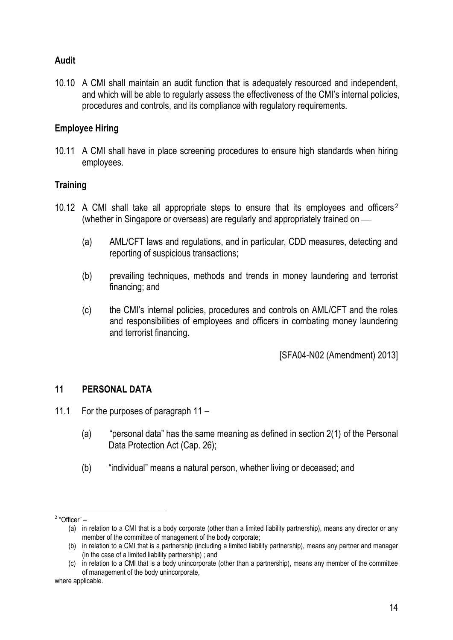# **Audit**

10.10 A CMI shall maintain an audit function that is adequately resourced and independent, and which will be able to regularly assess the effectiveness of the CMI's internal policies, procedures and controls, and its compliance with regulatory requirements.

### **Employee Hiring**

10.11 A CMI shall have in place screening procedures to ensure high standards when hiring employees.

#### **Training**

- 10.12 A CMI shall take all appropriate steps to ensure that its employees and officers <sup>2</sup> (whether in Singapore or overseas) are regularly and appropriately trained on
	- (a) AML/CFT laws and regulations, and in particular, CDD measures, detecting and reporting of suspicious transactions;
	- (b) prevailing techniques, methods and trends in money laundering and terrorist financing; and
	- (c) the CMI's internal policies, procedures and controls on AML/CFT and the roles and responsibilities of employees and officers in combating money laundering and terrorist financing.

[SFA04-N02 (Amendment) 2013]

#### **11 PERSONAL DATA**

- 11.1 For the purposes of paragraph 11
	- (a) "personal data" has the same meaning as defined in section 2(1) of the Personal Data Protection Act (Cap. 26);
	- (b) "individual" means a natural person, whether living or deceased; and

 2 "Officer" –

<sup>(</sup>a) in relation to a CMI that is a body corporate (other than a limited liability partnership), means any director or any member of the committee of management of the body corporate;

<sup>(</sup>b) in relation to a CMI that is a partnership (including a limited liability partnership), means any partner and manager (in the case of a limited liability partnership) ; and

<sup>(</sup>c) in relation to a CMI that is a body unincorporate (other than a partnership), means any member of the committee of management of the body unincorporate,

where applicable.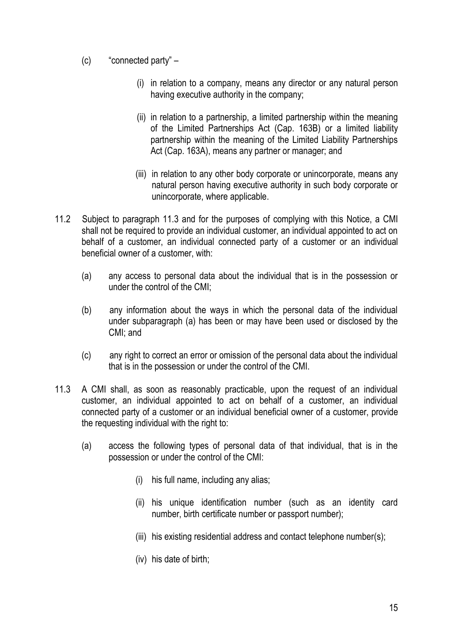- (c) "connected party"
	- (i) in relation to a company, means any director or any natural person having executive authority in the company;
	- (ii) in relation to a partnership, a limited partnership within the meaning of the Limited Partnerships Act (Cap. 163B) or a limited liability partnership within the meaning of the Limited Liability Partnerships Act (Cap. 163A), means any partner or manager; and
	- (iii) in relation to any other body corporate or unincorporate, means any natural person having executive authority in such body corporate or unincorporate, where applicable.
- 11.2 Subject to paragraph 11.3 and for the purposes of complying with this Notice, a CMI shall not be required to provide an individual customer, an individual appointed to act on behalf of a customer, an individual connected party of a customer or an individual beneficial owner of a customer, with:
	- (a) any access to personal data about the individual that is in the possession or under the control of the CMI;
	- (b) any information about the ways in which the personal data of the individual under subparagraph (a) has been or may have been used or disclosed by the CMI; and
	- (c) any right to correct an error or omission of the personal data about the individual that is in the possession or under the control of the CMI.
- 11.3 A CMI shall, as soon as reasonably practicable, upon the request of an individual customer, an individual appointed to act on behalf of a customer, an individual connected party of a customer or an individual beneficial owner of a customer, provide the requesting individual with the right to:
	- (a) access the following types of personal data of that individual, that is in the possession or under the control of the CMI:
		- (i) his full name, including any alias;
		- (ii) his unique identification number (such as an identity card number, birth certificate number or passport number);
		- (iii) his existing residential address and contact telephone number(s);
		- (iv) his date of birth;